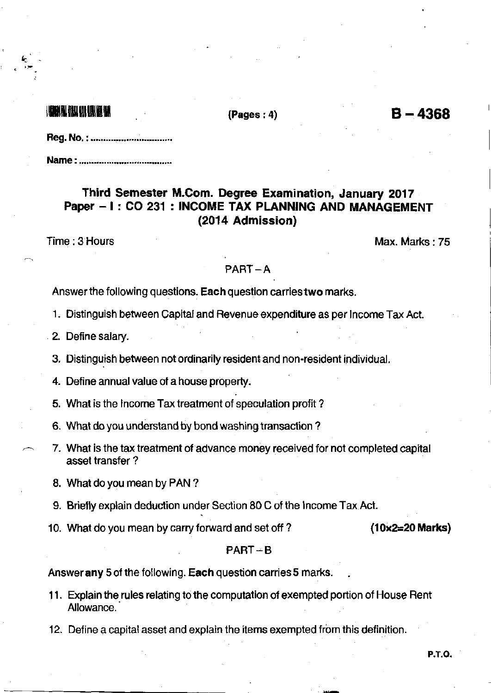## ils bildige en del een

{Pages i 4)

 $B - 4368$ 

|  | Reg. No. : |  |
|--|------------|--|
|--|------------|--|

Name : ....,..,...,..........,,.........-...

## Third Semester M.Com. Degree Examination, January 2017 Paper - I : CO 231 : INCOME TAX PLANNING AND MANAGEMENT (2014 Admission)

Time: 3 Hours Max. Marks : 75

### PABT-A

Answer the following questions. Each question carries two marks.

- 1. Distinguish between Capital and Revenue expenditure as per lncome Tax Act.
- 2. Define salary.
- 3. Distinguish between not ordinarily resident and non-resident individual.
- 4. Define annual value ot a house property.
- 5. What is the Income Tax treatment of speculation profit?
- 6. What do you understand by bond washing transaction ?
- 7. What is the tax treatment of advance money received for not completed capital asset transfer ?
- 8. What do you mean by PAN ?
- 9. Brierly explain deduction under Section 80 C of the lncome Tax Act.
- 10. What do you mean by carry forward and set off ?  $(10x2=20 \text{ Marks})$

### $PART-B$

Answer any 5 of the following. Each question carries 5 marks.

- 11. Explain the rules relating to the computation of exempted portion of House Rent Allowance.
- 12. Define a capital asset and explain the items exempted from this definition.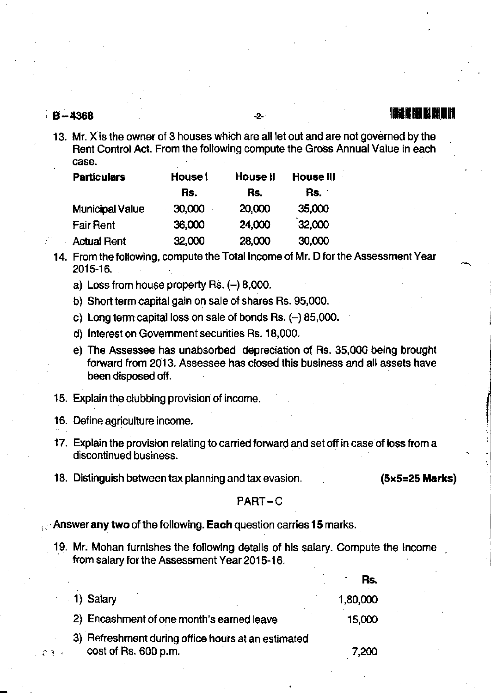# identification and the control of the control of the control of the control of the control of the control of t<br>in the control of the control of the control of the control of the control of the control of the control of th

13. Mr. X is the owner of 3 houses which are all let out and are not governed by the Rent Control Act. From the following compute the Gross Annual Value in each . case.

| <b>Particulars</b>     | House l | <b>House II</b> | <b>House III</b> |
|------------------------|---------|-----------------|------------------|
|                        | Rs.     | Rs.             | Rs.              |
| <b>Municipal Value</b> | 30,000  | 20,000          | 35,000           |
| <b>Fair Rent</b>       | 36,000  | 24,000          | 32,000           |
| <b>Actual Rent</b>     | 32,000  | 28,000          | 30,000           |

- 14. From the following, compute the Total income of Mr. D for the Assessment Year 2015-16.
	- a) Loss from house property  $\text{Rs.}(-)$  8,000.
	- b) Short term capital gain on sale of shares Rs. 95,000.
	- c) Long term capital loss on sale of bonds Rs.  $(-)$  85,000.
	- d) lnterest on Government securities Bs. 18,000.
	- e) The Assessee has unabsorbed depreciation of Rs. 35,000 being brought forward from 2013. Assessee has closed this business and all assels have been disposed off.
- 15. Explain the clubbing provision of income.
- 16. Detine agriculture income.
- 17. Explain the provision relating to carried forward and set off in case of loss from a discontinued business.
- 18. Distinguish between tax planning and tax evasion.  $(5 \times 5 = 25$  Marks)

### PART-C

Answer any two of the following. Each question carries 15 marks.

19. Mr. Mohan furnishes the following details of his salary. Compute the Income from salary for the Assessment Year 2015-16.

|        |                                                                            | Rs.      |
|--------|----------------------------------------------------------------------------|----------|
|        | 1) Salary                                                                  | 1,80,000 |
|        | 2) Encashment of one month's earned leave                                  | 15,000   |
| ं है उ | 3) Refreshment during office hours at an estimated<br>cost of Rs. 600 p.m. | 7.200    |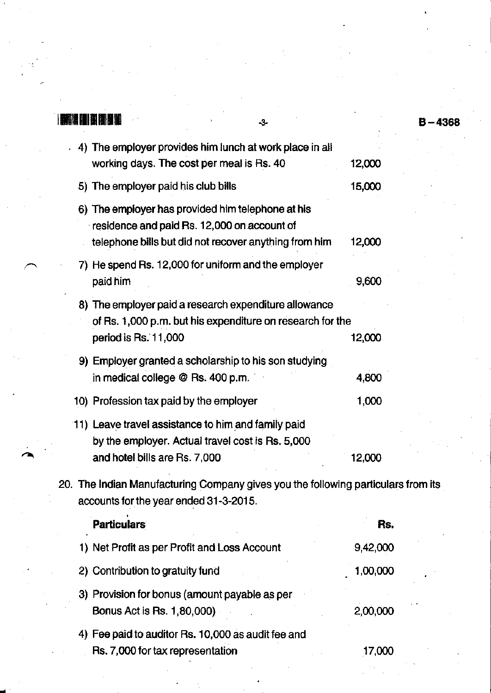|                                              | -3-                                                                                                                                                       |          | $B - 4368$ |
|----------------------------------------------|-----------------------------------------------------------------------------------------------------------------------------------------------------------|----------|------------|
|                                              | 4) The employer provides him lunch at work place in all<br>working days. The cost per meal is Rs. 40                                                      | 12,000   |            |
| 5) The employer paid his club bills          |                                                                                                                                                           | 15,000   |            |
|                                              | 6) The employer has provided him telephone at his<br>residence and paid Rs. 12,000 on account of<br>telephone bills but did not recover anything from him | 12,000   |            |
| paid him                                     | 7) He spend Rs. 12,000 for uniform and the employer                                                                                                       | 9,600    |            |
| period is Rs. 11,000                         | 8) The employer paid a research expenditure allowance<br>of Rs. 1,000 p.m. but his expenditure on research for the                                        | 12,000   |            |
| in medical college @ Rs. 400 p.m.            | 9) Employer granted a scholarship to his son studying                                                                                                     | 4,800    |            |
| 10) Profession tax paid by the employer      |                                                                                                                                                           | 1,000    |            |
| and hotel bills are Rs. 7,000                | 11) Leave travel assistance to him and family paid<br>by the employer. Actual travel cost is Rs. 5,000                                                    | 12,000   |            |
| accounts for the year ended 31-3-2015.       | 20. The Indian Manufacturing Company gives you the following particulars from its                                                                         |          |            |
| <b>Particulars</b>                           |                                                                                                                                                           | Rs.      |            |
| 1) Net Profit as per Profit and Loss Account |                                                                                                                                                           | 9,42,000 |            |
| 2) Contribution to gratuity fund             |                                                                                                                                                           | 1,00,000 |            |

3) Provision for bonus (amount payable as per Bonus Act is Rs. 1,80,000) 2,O0,OOO

4) Fee paid to auditor Rs. 10,000 as audit fee and . Rs. 7,000 for tax representation 17,000